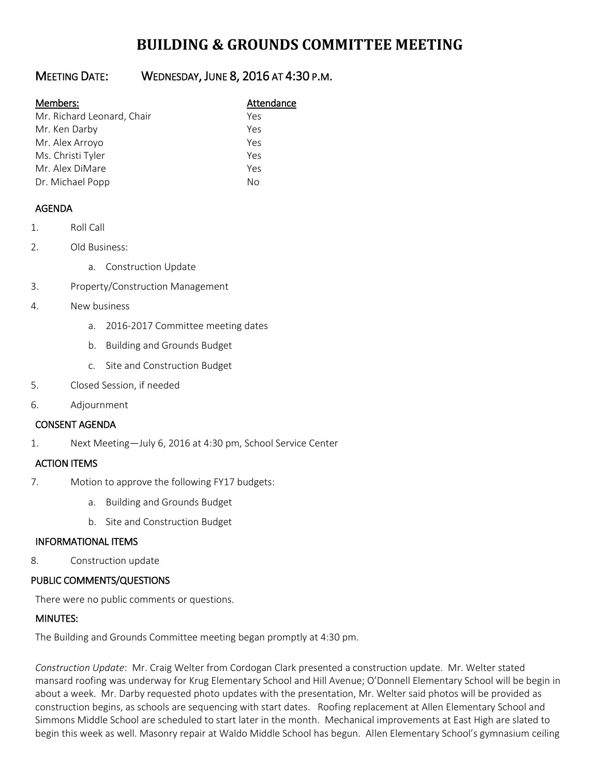# **BUILDING & GROUNDS COMMITTEE MEETING**

## MEETING DATE: WEDNESDAY, JUNE 8, 2016 AT 4:30 P.M.

#### Members: Manual Members: Attendance

| Mr. Richard Leonard, Chair | Yes |
|----------------------------|-----|
| Mr. Ken Darby              | Yes |
| Mr. Alex Arroyo            | Yes |
| Ms. Christi Tyler          | Yes |
| Mr. Alex DiMare            | Yes |
| Dr. Michael Popp           | Nο  |

### AGENDA

- 1. Roll Call
- 2. Old Business:
	- a. Construction Update
- 3. Property/Construction Management
- 4. New business
	- a. 2016-2017 Committee meeting dates
	- b. Building and Grounds Budget
	- c. Site and Construction Budget
- 5. Closed Session, if needed
- 6. Adjournment

### CONSENT AGENDA

1. Next Meeting—July 6, 2016 at 4:30 pm, School Service Center

### ACTION ITEMS

- 7. Motion to approve the following FY17 budgets:
	- a. Building and Grounds Budget
	- b. Site and Construction Budget

### INFORMATIONAL ITEMS

8. Construction update

### PUBLIC COMMENTS/QUESTIONS

There were no public comments or questions.

### MINUTES:

The Building and Grounds Committee meeting began promptly at 4:30 pm.

*Construction Update*: Mr. Craig Welter from Cordogan Clark presented a construction update. Mr. Welter stated mansard roofing was underway for Krug Elementary School and Hill Avenue; O'Donnell Elementary School will be begin in about a week. Mr. Darby requested photo updates with the presentation, Mr. Welter said photos will be provided as construction begins, as schools are sequencing with start dates. Roofing replacement at Allen Elementary School and Simmons Middle School are scheduled to start later in the month. Mechanical improvements at East High are slated to begin this week as well. Masonry repair at Waldo Middle School has begun. Allen Elementary School's gymnasium ceiling